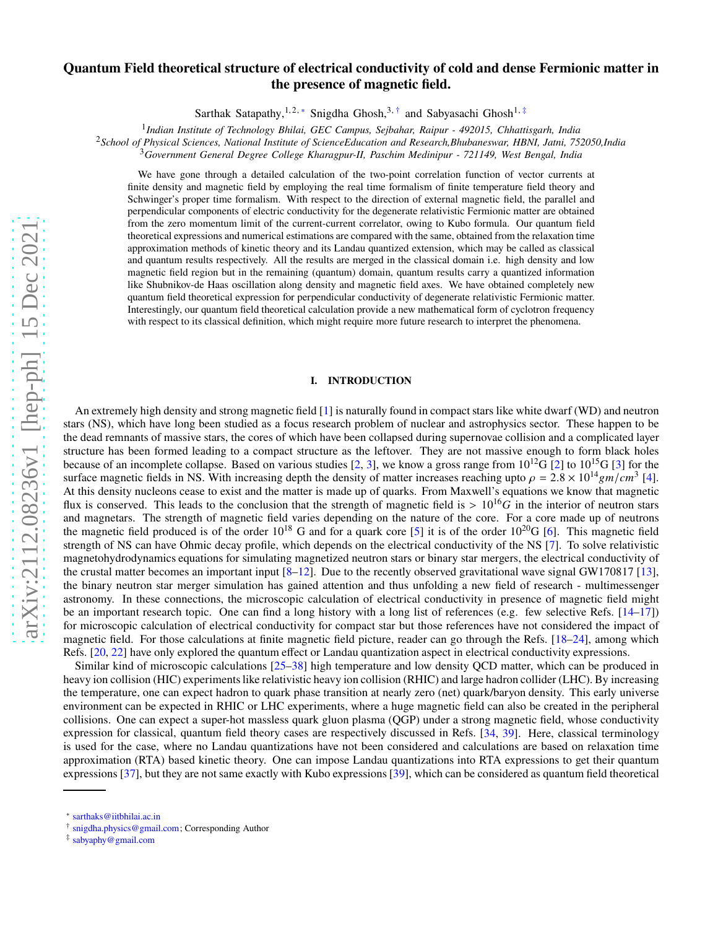# **Quantum Field theoretical structure of electrical conductivity of cold and dense Fermionic matter in the presence of magnetic field.**

Sarthak Satapathy,<sup>1,2,[∗](#page-0-0)</sup> Snigdha Ghosh,<sup>3,[†](#page-0-1)</sup> and Sabyasachi Ghosh<sup>1,[‡](#page-0-2)</sup>

1 *Indian Institute of Technology Bhilai, GEC Campus, Sejbahar, Raipur - 492015, Chhattisgarh, India*

<sup>2</sup>*School of Physical Sciences, National Institute of ScienceEducation and Research,Bhubaneswar, HBNI, Jatni, 752050,India*

<sup>3</sup>*Government General Degree College Kharagpur-II, Paschim Medinipur - 721149, West Bengal, India*

We have gone through a detailed calculation of the two-point correlation function of vector currents at finite density and magnetic field by employing the real time formalism of finite temperature field theory and Schwinger's proper time formalism. With respect to the direction of external magnetic field, the parallel and perpendicular components of electric conductivity for the degenerate relativistic Fermionic matter are obtained from the zero momentum limit of the current-current correlator, owing to Kubo formula. Our quantum field theoretical expressions and numerical estimations are compared with the same, obtained from the relaxation time approximation methods of kinetic theory and its Landau quantized extension, which may be called as classical and quantum results respectively. All the results are merged in the classical domain i.e. high density and low magnetic field region but in the remaining (quantum) domain, quantum results carry a quantized information like Shubnikov-de Haas oscillation along density and magnetic field axes. We have obtained completely new quantum field theoretical expression for perpendicular conductivity of degenerate relativistic Fermionic matter. Interestingly, our quantum field theoretical calculation provide a new mathematical form of cyclotron frequency with respect to its classical definition, which might require more future research to interpret the phenomena.

# **I. INTRODUCTION**

arXiv:2112.08236v1 [hep-ph] 15 Dec 2021 [arXiv:2112.08236v1 \[hep-ph\] 15 Dec 2021](http://arxiv.org/abs/2112.08236v1)

An extremely high density and strong magnetic field [\[1\]](#page-11-0) is naturally found in compact stars like white dwarf (WD) and neutron stars (NS), which have long been studied as a focus research problem of nuclear and astrophysics sector. These happen to be the dead remnants of massive stars, the cores of which have been collapsed during supernovae collision and a complicated layer structure has been formed leading to a compact structure as the leftover. They are not massive enough to form black holes because of an incomplete collapse. Based on various studies [\[2,](#page-11-1) [3\]](#page-11-2), we know a gross range from  $10^{12}$ G [\[2\]](#page-11-1) to  $10^{15}$ G [\[3](#page-11-2)] for the surface magnetic fields in NS. With increasing depth the density of matter increases reaching upto  $\rho = 2.8 \times 10^{14}$  gm/cm<sup>3</sup> [\[4](#page-11-3)]. At this density nucleons cease to exist and the matter is made up of quarks. From Maxwell's equations we know that magnetic flux is conserved. This leads to the conclusion that the strength of magnetic field is  $> 10^{16}G$  in the interior of neutron stars and magnetars. The strength of magnetic field varies depending on the nature of the core. For a core made up of neutrons the magnetic field produced is of the order  $10^{18}$  G and for a quark core [\[5](#page-11-4)] it is of the order  $10^{20}$ G [\[6\]](#page-11-5). This magnetic field strength of NS can have Ohmic decay profile, which depends on the electrical conductivity of the NS [\[7\]](#page-11-6). To solve relativistic magnetohydrodynamics equations for simulating magnetized neutron stars or binary star mergers, the electrical conductivity of the crustal matter becomes an important input  $[8-12]$ . Due to the recently observed gravitational wave signal GW170817 [\[13](#page-11-9)], the binary neutron star merger simulation has gained attention and thus unfolding a new field of research - multimessenger astronomy. In these connections, the microscopic calculation of electrical conductivity in presence of magnetic field might be an important research topic. One can find a long history with a long list of references (e.g. few selective Refs.  $[14-17]$  $[14-17]$ ) for microscopic calculation of electrical conductivity for compact star but those references have not considered the impact of magnetic field. For those calculations at finite magnetic field picture, reader can go through the Refs. [\[18](#page-11-12)[–24\]](#page-11-13), among which Refs. [\[20](#page-11-14), [22](#page-11-15)] have only explored the quantum effect or Landau quantization aspect in electrical conductivity expressions.

Similar kind of microscopic calculations [\[25](#page-11-16)[–38\]](#page-12-0) high temperature and low density QCD matter, which can be produced in heavy ion collision (HIC) experiments like relativistic heavy ion collision (RHIC) and large hadron collider (LHC). By increasing the temperature, one can expect hadron to quark phase transition at nearly zero (net) quark/baryon density. This early universe environment can be expected in RHIC or LHC experiments, where a huge magnetic field can also be created in the peripheral collisions. One can expect a super-hot massless quark gluon plasma (QGP) under a strong magnetic field, whose conductivity expression for classical, quantum field theory cases are respectively discussed in Refs. [\[34,](#page-11-17) [39\]](#page-12-1). Here, classical terminology is used for the case, where no Landau quantizations have not been considered and calculations are based on relaxation time approximation (RTA) based kinetic theory. One can impose Landau quantizations into RTA expressions to get their quantum expressions [\[37\]](#page-12-2), but they are not same exactly with Kubo expressions [\[39](#page-12-1)], which can be considered as quantum field theoretical

<span id="page-0-0"></span><sup>∗</sup> [sarthaks@iitbhilai.ac.in](mailto:sarthaks@iitbhilai.ac.in)

<span id="page-0-1"></span><sup>†</sup> [snigdha.physics@gmail.com;](mailto:snigdha.physics@gmail.com) Corresponding Author

<span id="page-0-2"></span><sup>‡</sup> [sabyaphy@gmail.com](mailto:sabyaphy@gmail.com)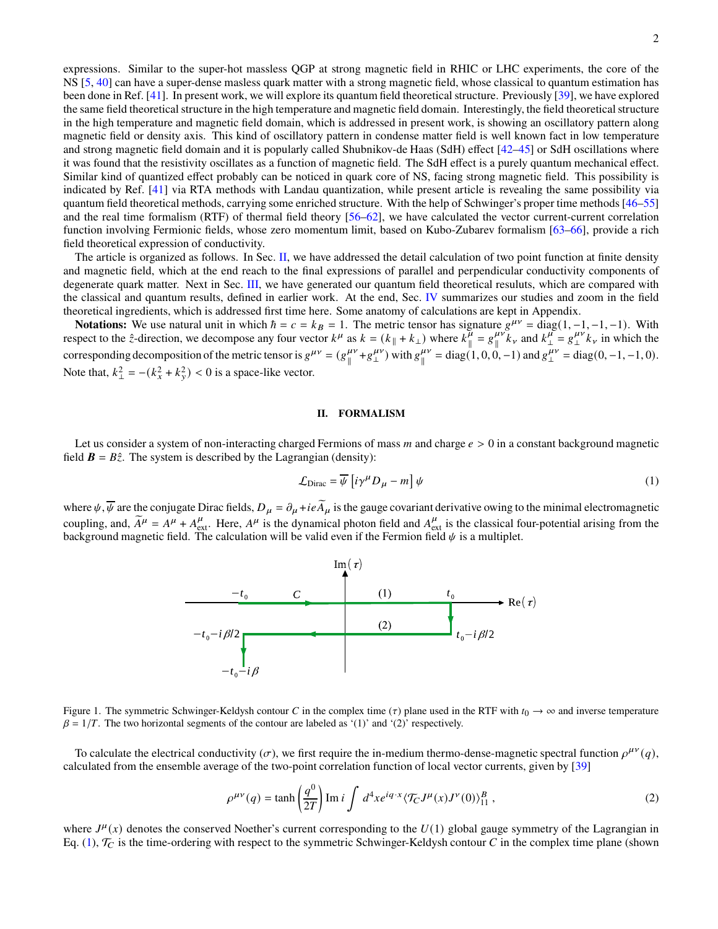expressions. Similar to the super-hot massless QGP at strong magnetic field in RHIC or LHC experiments, the core of the NS [\[5,](#page-11-4) [40\]](#page-12-3) can have a super-dense masless quark matter with a strong magnetic field, whose classical to quantum estimation has been done in Ref. [\[41](#page-12-4)]. In present work, we will explore its quantum field theoretical structure. Previously [\[39](#page-12-1)], we have explored the same field theoretical structure in the high temperature and magnetic field domain. Interestingly, the field theoretical structure in the high temperature and magnetic field domain, which is addressed in present work, is showing an oscillatory pattern along magnetic field or density axis. This kind of oscillatory pattern in condense matter field is well known fact in low temperature and strong magnetic field domain and it is popularly called Shubnikov-de Haas (SdH) effect [\[42](#page-12-5)[–45\]](#page-12-6) or SdH oscillations where it was found that the resistivity oscillates as a function of magnetic field. The SdH effect is a purely quantum mechanical effect. Similar kind of quantized effect probably can be noticed in quark core of NS, facing strong magnetic field. This possibility is indicated by Ref. [\[41\]](#page-12-4) via RTA methods with Landau quantization, while present article is revealing the same possibility via quantum field theoretical methods, carrying some enriched structure. With the help of Schwinger's proper time methods [\[46](#page-12-7)[–55\]](#page-12-8) and the real time formalism (RTF) of thermal field theory  $[56–62]$  $[56–62]$ , we have calculated the vector current-current correlation function involving Fermionic fields, whose zero momentum limit, based on Kubo-Zubarev formalism [\[63](#page-12-11)[–66\]](#page-12-12), provide a rich field theoretical expression of conductivity.

The article is organized as follows. In Sec. [II,](#page-1-0) we have addressed the detail calculation of two point function at finite density and magnetic field, which at the end reach to the final expressions of parallel and perpendicular conductivity components of degenerate quark matter. Next in Sec. [III,](#page-4-0) we have generated our quantum field theoretical resuluts, which are compared with the classical and quantum results, defined in earlier work. At the end, Sec. [IV](#page-8-0) summarizes our studies and zoom in the field theoretical ingredients, which is addressed first time here. Some anatomy of calculations are kept in Appendix.

**Notations:** We use natural unit in which  $\hbar = c = k_B = 1$ . The metric tensor has signature  $g^{\mu\nu} = \text{diag}(1, -1, -1, -1)$ . With respect to the  $\hat{z}$ -direction, we decompose any four vector  $k^{\mu}$  as  $k = (k_{\parallel} + k_{\perp})$  where  $k^{\mu}_{\parallel}$  $\bar{\mu} = g^{\mu\nu}_{\parallel}$  $\mu \nu \chi_{\nu}$  and  $k_{\perp}^{\mu} = g_{\perp}^{\mu \nu}$  $\int_{\perp}^{\mu\nu} k_{\nu}$  in which the corresponding decomposition of the metric tensor is  $g^{\mu\nu} = (g^{\mu\nu}_\parallel)$  $^{\mu\nu}_{\parallel}$  +  $g^{\mu\nu}_{\perp}$  $_{\perp}^{\mu\nu}$ ) with  $g_{\parallel}^{\mu\nu}$  $\mu^{\nu}$  = diag(1, 0, 0, -1) and  $g_{\perp}^{\mu\nu}$  = diag(0, -1, -1, 0). Note that,  $k_{\perp}^2 = -(k_x^2 + k_y^2) < 0$  is a space-like vector.

## <span id="page-1-0"></span>**II. FORMALISM**

Let us consider a system of non-interacting charged Fermions of mass  $m$  and charge  $e > 0$  in a constant background magnetic field  $\mathbf{B} = B\hat{z}$ . The system is described by the Lagrangian (density):

<span id="page-1-1"></span>
$$
\mathcal{L}_{\text{Dirac}} = \overline{\psi} \left[ i \gamma^{\mu} D_{\mu} - m \right] \psi \tag{1}
$$

where  $\psi$ ,  $\overline{\psi}$  are the conjugate Dirac fields,  $D_{\mu} = \partial_{\mu} + ie\widetilde{A}_{\mu}$  is the gauge covariant derivative owing to the minimal electromagnetic coupling, and,  $\widetilde{A}^{\mu} = A^{\mu} + A^{\mu}_{ext}$ . Here,  $A^{\mu}$  is the dynamical photon field and  $A^{\mu}_{ext}$  is the classical four-potential arising from the background magnetic field. The calculation will be valid even if the Fermion field  $\psi$  is a multiplet.



<span id="page-1-2"></span>Figure 1. The symmetric Schwinger-Keldysh contour C in the complex time ( $\tau$ ) plane used in the RTF with  $t_0 \rightarrow \infty$  and inverse temperature  $\beta = 1/T$ . The two horizontal segments of the contour are labeled as '(1)' and '(2)' respectively.

To calculate the electrical conductivity  $(\sigma)$ , we first require the in-medium thermo-dense-magnetic spectral function  $\rho^{\mu\nu}(q)$ , calculated from the ensemble average of the two-point correlation function of local vector currents, given by [\[39\]](#page-12-1)

<span id="page-1-3"></span>
$$
\rho^{\mu\nu}(q) = \tanh\left(\frac{q^0}{2T}\right) \operatorname{Im} i \int d^4x e^{iq \cdot x} \langle \mathcal{T}_C J^\mu(x) J^\nu(0) \rangle_{11}^B , \qquad (2)
$$

where  $J^{\mu}(x)$  denotes the conserved Noether's current corresponding to the  $U(1)$  global gauge symmetry of the Lagrangian in Eq. [\(1\)](#page-1-1),  $\mathcal{T}_C$  is the time-ordering with respect to the symmetric Schwinger-Keldysh contour C in the complex time plane (shown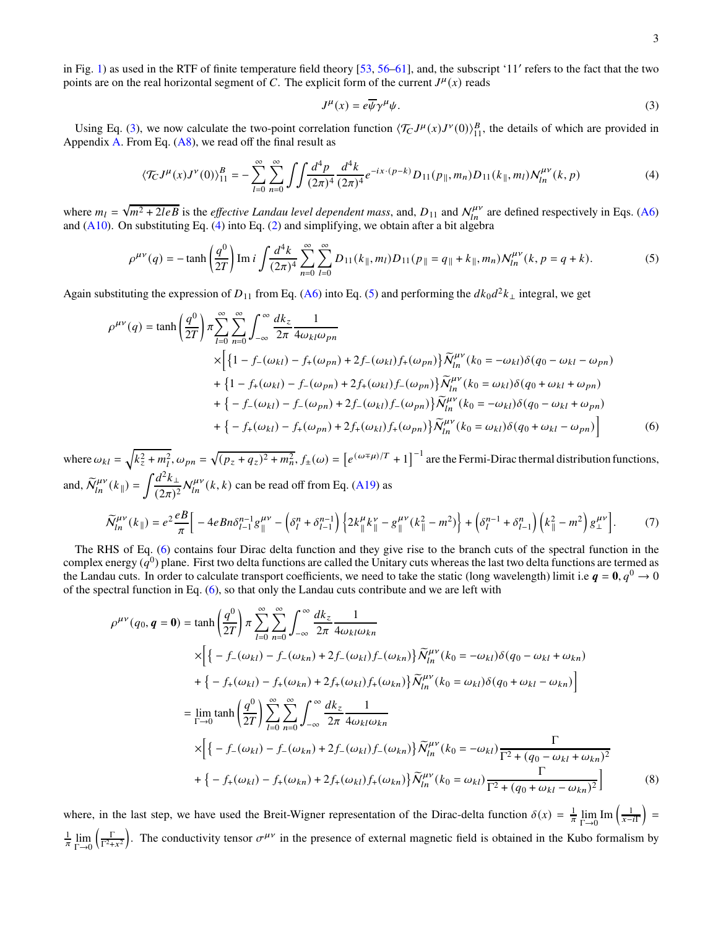in Fig. [1\)](#page-1-2) as used in the RTF of finite temperature field theory [\[53](#page-12-13), [56](#page-12-9)[–61](#page-12-14)], and, the subscript '11′ refers to the fact that the two points are on the real horizontal segment of C. The explicit form of the current  $J^{\mu}(x)$  reads

<span id="page-2-0"></span>
$$
J^{\mu}(x) = e\overline{\psi}\gamma^{\mu}\psi.
$$
 (3)

Using Eq. [\(3\)](#page-2-0), we now calculate the two-point correlation function  $\langle \mathcal{T}_C J^\mu(x) J^\nu(0) \rangle_{11}^B$ , the details of which are provided in Appendix [A.](#page-9-0) From Eq.  $(A8)$ , we read off the final result as

<span id="page-2-1"></span>
$$
\langle \mathcal{T}_C J^\mu(x) J^\nu(0) \rangle_{11}^B = -\sum_{l=0}^\infty \sum_{n=0}^\infty \int \int \frac{d^4 p}{(2\pi)^4} \frac{d^4 k}{(2\pi)^4} e^{-ix \cdot (p-k)} D_{11}(p_{\parallel}, m_n) D_{11}(k_{\parallel}, m_l) \mathcal{N}_{ln}^{\mu\nu}(k, p) \tag{4}
$$

where  $m_l = \sqrt{m^2 + 2leB}$  is the *effective Landau level dependent mass*, and,  $D_{11}$  and  $N_{ln}^{\mu\nu}$  are defined respectively in Eqs. [\(A6\)](#page-9-1) and  $(A10)$ . On substituting Eq.  $(4)$  into Eq.  $(2)$  and simplifying, we obtain after a bit algebra

<span id="page-2-2"></span>
$$
\rho^{\mu\nu}(q) = -\tanh\left(\frac{q^0}{2T}\right) \operatorname{Im} i \int \frac{d^4k}{(2\pi)^4} \sum_{n=0}^{\infty} \sum_{l=0}^{\infty} D_{11}(k_{\parallel}, m_l) D_{11}(p_{\parallel} = q_{\parallel} + k_{\parallel}, m_n) N_{ln}^{\mu\nu}(k, p = q + k). \tag{5}
$$

Again substituting the expression of  $D_{11}$  from Eq. [\(A6\)](#page-9-1) into Eq. [\(5\)](#page-2-2) and performing the  $dk_0d^2k_{\perp}$  integral, we get

 $\overline{a}$ 

<span id="page-2-3"></span>
$$
\rho^{\mu\nu}(q) = \tanh\left(\frac{q^{0}}{2T}\right) \pi \sum_{l=0}^{\infty} \sum_{n=0}^{\infty} \int_{-\infty}^{\infty} \frac{dk_{z}}{2\pi} \frac{1}{4\omega_{kl}\omega_{pn}} \times \left[ \left\{ 1 - f_{-}(\omega_{kl}) - f_{+}(\omega_{pn}) + 2f_{-}(\omega_{kl})f_{+}(\omega_{pn}) \right\} \widetilde{N}_{ln}^{\mu\nu}(k_{0} = -\omega_{kl}) \delta(q_{0} - \omega_{kl} - \omega_{pn}) \right. \left. + \left\{ 1 - f_{+}(\omega_{kl}) - f_{-}(\omega_{pn}) + 2f_{+}(\omega_{kl})f_{-}(\omega_{pn}) \right\} \widetilde{N}_{ln}^{\mu\nu}(k_{0} = \omega_{kl}) \delta(q_{0} + \omega_{kl} + \omega_{pn}) \right. \left. + \left\{ - f_{-}(\omega_{kl}) - f_{-}(\omega_{pn}) + 2f_{-}(\omega_{kl})f_{-}(\omega_{pn}) \right\} \widetilde{N}_{ln}^{\mu\nu}(k_{0} = -\omega_{kl}) \delta(q_{0} - \omega_{kl} + \omega_{pn}) \right. \left. + \left\{ - f_{+}(\omega_{kl}) - f_{+}(\omega_{pn}) + 2f_{+}(\omega_{kl})f_{+}(\omega_{pn}) \right\} \widetilde{N}_{ln}^{\mu\nu}(k_{0} = \omega_{kl}) \delta(q_{0} + \omega_{kl} - \omega_{pn}) \right] \right]
$$
(6)

where  $\omega_{kl} = \sqrt{k_z^2 + m_l^2}, \omega_{pn} = \sqrt{(p_z + q_z)^2 + m_n^2}, f_{\pm}(\omega) = [e^{(\omega \mp \mu)/T} + 1]^{-1}$  are the Fermi-Dirac thermal distribution functions, and,  $\widetilde{\mathcal{N}}_{ln}^{\mu\nu}(k_{\parallel}) = \int \frac{d^2k_{\perp}}{(2\pi)^2}$  $\frac{a^{-k}k_{\perp}}{(2\pi)^2}N_{ln}^{\mu\nu}(k, k)$  can be read off from Eq. [\(A19\)](#page-10-2) as

<span id="page-2-4"></span>
$$
\widetilde{N}_{1n}^{\mu\nu}(k_{\parallel}) = e^2 \frac{e}{\pi} \left[ -4eBn\delta_{l-1}^{n-1}g_{\parallel}^{\mu\nu} - \left(\delta_l^n + \delta_{l-1}^{n-1}\right) \left\{ 2k_{\parallel}^{\mu}k_{\parallel}^{\nu} - g_{\parallel}^{\mu\nu}(k_{\parallel}^2 - m^2) \right\} + \left(\delta_l^{n-1} + \delta_{l-1}^n\right) \left(k_{\parallel}^2 - m^2\right)g_{\perp}^{\mu\nu} \right].
$$
 (7)

The RHS of Eq. [\(6\)](#page-2-3) contains four Dirac delta function and they give rise to the branch cuts of the spectral function in the complex energy  $(q^0)$  plane. First two delta functions are called the Unitary cuts whereas the last two delta functions are termed as the Landau cuts. In order to calculate transport coefficients, we need to take the static (long wavelength) limit i.e  $q = 0, q^0 \rightarrow 0$ of the spectral function in Eq.  $(6)$ , so that only the Landau cuts contribute and we are left with

$$
\rho^{\mu\nu}(q_{0}, \mathbf{q} = \mathbf{0}) = \tanh\left(\frac{q^{0}}{2T}\right) \pi \sum_{l=0}^{\infty} \sum_{n=0}^{\infty} \int_{-\infty}^{\infty} \frac{dk_{z}}{2\pi} \frac{1}{4\omega_{kl}\omega_{kn}}\n\times \left[ \left\{ -f_{-}(\omega_{kl}) - f_{-}(\omega_{kn}) + 2f_{-}(\omega_{kl})f_{-}(\omega_{kn}) \right\} \widetilde{N}_{ln}^{\mu\nu}(k_{0} = -\omega_{kl}) \delta(q_{0} - \omega_{kl} + \omega_{kn}) \right. \\
\left. + \left\{ -f_{+}(\omega_{kl}) - f_{+}(\omega_{kn}) + 2f_{+}(\omega_{kl})f_{+}(\omega_{kn}) \right\} \widetilde{N}_{ln}^{\mu\nu}(k_{0} = \omega_{kl}) \delta(q_{0} + \omega_{kl} - \omega_{kn}) \right] \right. \\
= \lim_{\Gamma \to 0} \tanh\left(\frac{q^{0}}{2T}\right) \sum_{l=0}^{\infty} \sum_{n=0}^{\infty} \int_{-\infty}^{\infty} \frac{dk_{z}}{2\pi} \frac{1}{4\omega_{kl}\omega_{kn}}\n\times \left[ \left\{ -f_{-}(\omega_{kl}) - f_{-}(\omega_{kn}) + 2f_{-}(\omega_{kl})f_{-}(\omega_{kn}) \right\} \widetilde{N}_{ln}^{\mu\nu}(k_{0} = -\omega_{kl}) \frac{\Gamma}{\Gamma^{2} + (q_{0} - \omega_{kl} + \omega_{kn})^{2}} \right. \\
\left. + \left\{ -f_{+}(\omega_{kl}) - f_{+}(\omega_{kn}) + 2f_{+}(\omega_{kl})f_{+}(\omega_{kn}) \right\} \widetilde{N}_{ln}^{\mu\nu}(k_{0} = \omega_{kl}) \frac{\Gamma}{\Gamma^{2} + (q_{0} + \omega_{kl} - \omega_{kn})^{2}} \right] \tag{8}
$$

where, in the last step, we have used the Breit-Wigner representation of the Dirac-delta function  $\delta(x) = \frac{1}{\pi} \lim_{\Gamma \to 0}$  $\text{Im}\left(\frac{1}{x-i\Gamma}\right)$  $=$  $rac{1}{\pi}$   $\lim_{\Gamma \to 0}$  $\left(\frac{\Gamma}{\Gamma^2+x^2}\right)$ . The conductivity tensor  $\sigma^{\mu\nu}$  in the presence of external magnetic field is obtained in the Kubo formalism by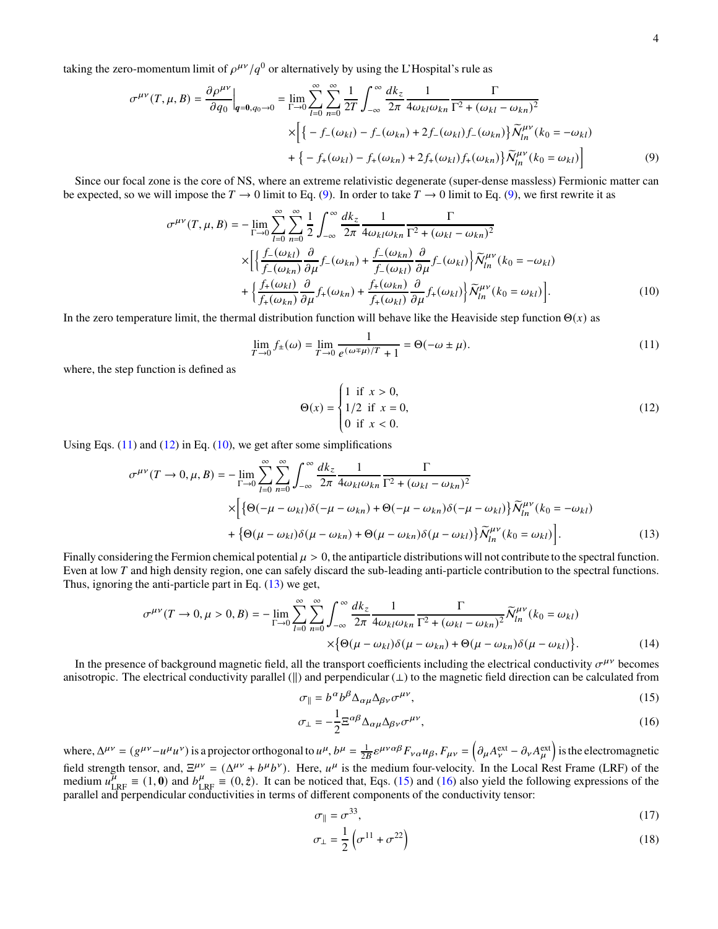taking the zero-momentum limit of  $\rho^{\mu\nu}/q^0$  or alternatively by using the L'Hospital's rule as

<span id="page-3-0"></span>
$$
\sigma^{\mu\nu}(T,\mu,B) = \frac{\partial \rho^{\mu\nu}}{\partial q_0} \Big|_{q=0,q_0 \to 0} = \lim_{\Gamma \to 0} \sum_{l=0}^{\infty} \sum_{n=0}^{\infty} \frac{1}{2T} \int_{-\infty}^{\infty} \frac{dk_z}{2\pi} \frac{1}{4\omega_{kl}\omega_{kn}} \frac{\Gamma}{\Gamma^2 + (\omega_{kl} - \omega_{kn})^2} \times \Big[ \Big\{ -f_{-}(\omega_{kl}) - f_{-}(\omega_{kn}) + 2f_{-}(\omega_{kl})f_{-}(\omega_{kn}) \Big\} \widetilde{N}_{ln}^{\mu\nu}(k_0 = -\omega_{kl}) + \Big\{ -f_{+}(\omega_{kl}) - f_{+}(\omega_{kn}) + 2f_{+}(\omega_{kl})f_{+}(\omega_{kn}) \Big\} \widetilde{N}_{ln}^{\mu\nu}(k_0 = \omega_{kl}) \Big]
$$
(9)

Since our focal zone is the core of NS, where an extreme relativistic degenerate (super-dense massless) Fermionic matter can be expected, so we will impose the  $T \to 0$  limit to Eq. [\(9\)](#page-3-0). In order to take  $T \to 0$  limit to Eq. (9), we first rewrite it as

<span id="page-3-3"></span>
$$
\sigma^{\mu\nu}(T,\mu,B) = -\lim_{\Gamma \to 0} \sum_{l=0}^{\infty} \sum_{n=0}^{\infty} \frac{1}{2} \int_{-\infty}^{\infty} \frac{dk_z}{2\pi} \frac{1}{4\omega_{kl}\omega_{kn}} \frac{\Gamma}{\Gamma^2 + (\omega_{kl} - \omega_{kn})^2}
$$

$$
\times \left[ \left\{ \frac{f_{-}(\omega_{kl})}{f_{-}(\omega_{kn})} \frac{\partial}{\partial \mu} f_{-}(\omega_{kn}) + \frac{f_{-}(\omega_{kn})}{f_{-}(\omega_{kl})} \frac{\partial}{\partial \mu} f_{-}(\omega_{kl}) \right\} \widetilde{N}_{ln}^{\mu\nu}(k_0 = -\omega_{kl}) + \left\{ \frac{f_{+}(\omega_{kl})}{f_{+}(\omega_{kn})} \frac{\partial}{\partial \mu} f_{+}(\omega_{kn}) + \frac{f_{+}(\omega_{kn})}{f_{+}(\omega_{kl})} \frac{\partial}{\partial \mu} f_{+}(\omega_{kl}) \right\} \widetilde{N}_{ln}^{\mu\nu}(k_0 = \omega_{kl}) \right].
$$
(10)

In the zero temperature limit, the thermal distribution function will behave like the Heaviside step function  $\Theta(x)$  as

<span id="page-3-1"></span>
$$
\lim_{T \to 0} f_{\pm}(\omega) = \lim_{T \to 0} \frac{1}{e^{(\omega \mp \mu)/T} + 1} = \Theta(-\omega \pm \mu). \tag{11}
$$

where, the step function is defined as

<span id="page-3-2"></span>
$$
\Theta(x) = \begin{cases} 1 & \text{if } x > 0, \\ 1/2 & \text{if } x = 0, \\ 0 & \text{if } x < 0. \end{cases}
$$
 (12)

Using Eqs. [\(11\)](#page-3-1) and [\(12\)](#page-3-2) in Eq. [\(10\)](#page-3-3), we get after some simplifications

<span id="page-3-4"></span>
$$
\sigma^{\mu\nu}(T \to 0, \mu, B) = -\lim_{\Gamma \to 0} \sum_{l=0}^{\infty} \sum_{n=0}^{\infty} \int_{-\infty}^{\infty} \frac{dk_z}{2\pi} \frac{1}{4\omega_{kl}\omega_{kn}} \frac{\Gamma}{\Gamma^2 + (\omega_{kl} - \omega_{kn})^2}
$$

$$
\times \left[ \{ \Theta(-\mu - \omega_{kl})\delta(-\mu - \omega_{kn}) + \Theta(-\mu - \omega_{kn})\delta(-\mu - \omega_{kl}) \} \widetilde{N}_{ln}^{\mu\nu}(k_0 = -\omega_{kl}) + \{ \Theta(\mu - \omega_{kl})\delta(\mu - \omega_{kn}) + \Theta(\mu - \omega_{kn})\delta(\mu - \omega_{kl}) \} \widetilde{N}_{ln}^{\mu\nu}(k_0 = \omega_{kl}) \right].
$$
(13)

Finally considering the Fermion chemical potential  $\mu > 0$ , the antiparticle distributions will not contribute to the spectral function. Even at low  $T$  and high density region, one can safely discard the sub-leading anti-particle contribution to the spectral functions. Thus, ignoring the anti-particle part in Eq. [\(13\)](#page-3-4) we get,

<span id="page-3-6"></span>
$$
\sigma^{\mu\nu}(T \to 0, \mu > 0, B) = -\lim_{\Gamma \to 0} \sum_{l=0}^{\infty} \sum_{n=0}^{\infty} \int_{-\infty}^{\infty} \frac{dk_z}{2\pi} \frac{1}{4\omega_{kl}\omega_{kn}} \frac{\Gamma}{\Gamma^2 + (\omega_{kl} - \omega_{kn})^2} \widetilde{N}_{ln}^{\mu\nu}(k_0 = \omega_{kl})
$$

$$
\times \{ \Theta(\mu - \omega_{kl}) \delta(\mu - \omega_{kn}) + \Theta(\mu - \omega_{kn}) \delta(\mu - \omega_{kl}) \}.
$$
(14)

In the presence of background magnetic field, all the transport coefficients including the electrical conductivity  $\sigma^{\mu\nu}$  becomes anisotropic. The electrical conductivity parallel ( $\parallel$ ) and perpendicular ( $\perp$ ) to the magnetic field direction can be calculated from

<span id="page-3-5"></span>
$$
\sigma_{\parallel} = b^{\alpha} b^{\beta} \Delta_{\alpha\mu} \Delta_{\beta\nu} \sigma^{\mu\nu},\tag{15}
$$

$$
\sigma_{\perp} = -\frac{1}{2} \Xi^{\alpha\beta} \Delta_{\alpha\mu} \Delta_{\beta\nu} \sigma^{\mu\nu},\tag{16}
$$

where,  $\Delta^{\mu\nu} = (g^{\mu\nu} - u^{\mu}u^{\nu})$  is a projector orthogonal to  $u^{\mu}$ ,  $b^{\mu} = \frac{1}{2B} \varepsilon^{\mu\nu\alpha\beta} F_{\nu\alpha} u_{\beta}$ ,  $F_{\mu\nu} = (\partial_{\mu}A^{\text{ext}}_{\nu} - \partial_{\nu}A^{\text{ext}}_{\mu})$  is the electromagnetic field strength tensor, and,  $\Xi^{\mu\nu} = (\Delta^{\mu\nu} + b^{\mu}b^{\nu})$ . Here,  $u^{\mu}$  is the medium four-velocity. In the Local Rest Frame (LRF) of the medium  $u_{\text{LRF}}^{\mu} \equiv (1, 0)$  and  $b_{\text{LRF}}^{\mu} \equiv (0, \hat{z})$ . It can be noticed that, Eqs. [\(15\)](#page-3-5) and [\(16\)](#page-3-5) also yield the following expressions of the parallel and perpendicular conductivities in terms of different components of the conductivity tensor:

$$
\sigma_{\parallel} = \sigma^{33},\tag{17}
$$

$$
\sigma_{\perp} = \frac{1}{2} \left( \sigma^{11} + \sigma^{22} \right) \tag{18}
$$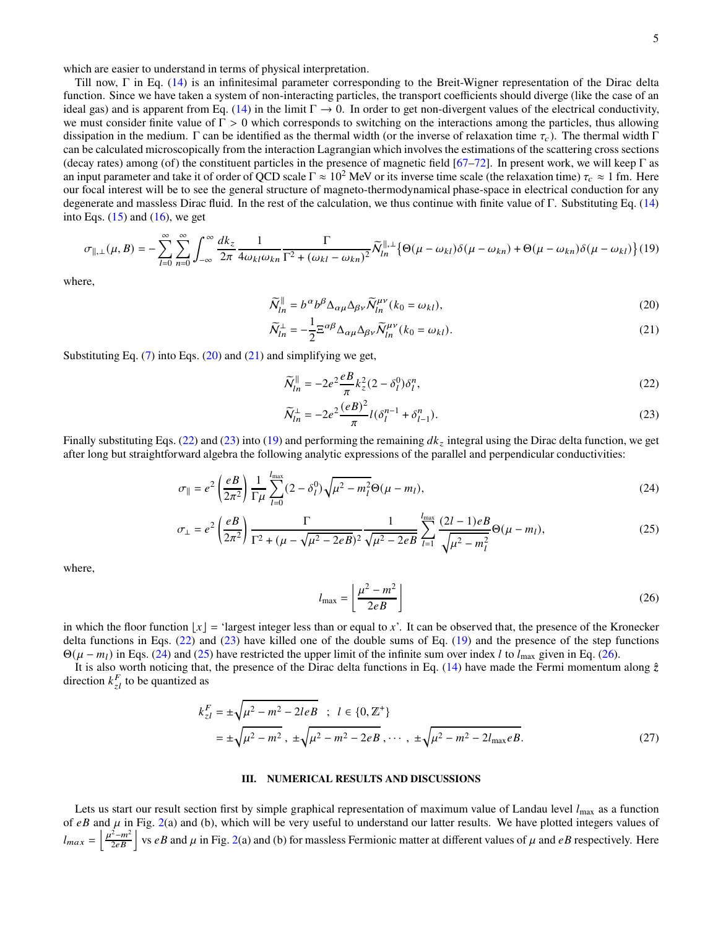which are easier to understand in terms of physical interpretation.

Till now, Γ in Eq. [\(14\)](#page-3-6) is an infinitesimal parameter corresponding to the Breit-Wigner representation of the Dirac delta function. Since we have taken a system of non-interacting particles, the transport coefficients should diverge (like the case of an ideal gas) and is apparent from Eq. [\(14\)](#page-3-6) in the limit  $\Gamma \rightarrow 0$ . In order to get non-divergent values of the electrical conductivity, we must consider finite value of  $\Gamma > 0$  which corresponds to switching on the interactions among the particles, thus allowing dissipation in the medium. Γ can be identified as the thermal width (or the inverse of relaxation time  $\tau_c$ ). The thermal width Γ can be calculated microscopically from the interaction Lagrangian which involves the estimations of the scattering cross sections (decay rates) among (of) the constituent particles in the presence of magnetic field  $[67–72]$  $[67–72]$ . In present work, we will keep  $\Gamma$  as an input parameter and take it of order of QCD scale  $\Gamma \approx 10^2$  MeV or its inverse time scale (the relaxation time)  $\tau_c \approx 1$  fm. Here our focal interest will be to see the general structure of magneto-thermodynamical phase-space in electrical conduction for any degenerate and massless Dirac fluid. In the rest of the calculation, we thus continue with finite value of Γ. Substituting Eq. [\(14\)](#page-3-6) into Eqs.  $(15)$  and  $(16)$ , we get

<span id="page-4-3"></span>
$$
\sigma_{\parallel,\perp}(\mu,B) = -\sum_{l=0}^{\infty} \sum_{n=0}^{\infty} \int_{-\infty}^{\infty} \frac{dk_z}{2\pi} \frac{1}{4\omega_{kl}\omega_{kn}} \frac{\Gamma}{\Gamma^2 + (\omega_{kl} - \omega_{kn})^2} \widetilde{N}_{ln}^{\parallel,\perp} \left\{ \Theta(\mu - \omega_{kl})\delta(\mu - \omega_{kn}) + \Theta(\mu - \omega_{kn})\delta(\mu - \omega_{kl}) \right\} (19)
$$

where,

<span id="page-4-1"></span>
$$
\widetilde{\mathcal{N}}_{ln}^{\parallel} = b^{\alpha} b^{\beta} \Delta_{\alpha\mu} \Delta_{\beta\nu} \widetilde{\mathcal{N}}_{ln}^{\mu\nu} (k_0 = \omega_{kl}), \tag{20}
$$

$$
\widetilde{\mathcal{N}}_{ln}^{\perp} = -\frac{1}{2} \Xi^{\alpha\beta} \Delta_{\alpha\mu} \Delta_{\beta\nu} \widetilde{\mathcal{N}}_{ln}^{\mu\nu} (k_0 = \omega_{kl}). \tag{21}
$$

Substituting Eq.  $(7)$  into Eqs.  $(20)$  and  $(21)$  and simplifying we get,

<span id="page-4-2"></span>
$$
\widetilde{\mathcal{N}}_{ln}^{\parallel} = -2e^2 \frac{e}{\pi} k_z^2 (2 - \delta_l^0) \delta_l^n,\tag{22}
$$

$$
\widetilde{N}_{ln}^{\perp} = -2e^2 \frac{(eB)^2}{\pi} l(\delta_l^{n-1} + \delta_{l-1}^n).
$$
\n(23)

Finally substituting Eqs. [\(22\)](#page-4-2) and [\(23\)](#page-4-2) into [\(19\)](#page-4-3) and performing the remaining  $dk_z$  integral using the Dirac delta function, we get after long but straightforward algebra the following analytic expressions of the parallel and perpendicular conductivities:

<span id="page-4-4"></span>
$$
\sigma_{\parallel} = e^2 \left( \frac{eB}{2\pi^2} \right) \frac{1}{\Gamma \mu} \sum_{l=0}^{l_{\text{max}}} (2 - \delta_l^0) \sqrt{\mu^2 - m_l^2} \Theta(\mu - m_l), \tag{24}
$$

$$
\sigma_{\perp} = e^2 \left( \frac{eB}{2\pi^2} \right) \frac{\Gamma}{\Gamma^2 + (\mu - \sqrt{\mu^2 - 2eB})^2} \frac{1}{\sqrt{\mu^2 - 2eB}} \sum_{l=1}^{l_{\text{max}}} \frac{(2l - 1)eB}{\sqrt{\mu^2 - m_l^2}} \Theta(\mu - m_l), \tag{25}
$$

where,

<span id="page-4-5"></span>
$$
l_{\max} = \left\lfloor \frac{\mu^2 - m^2}{2eB} \right\rfloor \tag{26}
$$

in which the floor function  $|x| =$  'largest integer less than or equal to x'. It can be observed that, the presence of the Kronecker delta functions in Eqs. [\(22\)](#page-4-2) and [\(23\)](#page-4-2) have killed one of the double sums of Eq. [\(19\)](#page-4-3) and the presence of the step functions  $\Theta(\mu - m_l)$  in Eqs. [\(24\)](#page-4-4) and [\(25\)](#page-4-4) have restricted the upper limit of the infinite sum over index *l* to *l*<sub>max</sub> given in Eq. [\(26\)](#page-4-5).

It is also worth noticing that, the presence of the Dirac delta functions in Eq. [\(14\)](#page-3-6) have made the Fermi momentum along  $\hat{z}$ direction  $k_{zl}^F$  to be quantized as

$$
k_{zl}^{F} = \pm \sqrt{\mu^{2} - m^{2} - 2leB} \quad ; \quad l \in \{0, \mathbb{Z}^{+}\}
$$
  
=  $\pm \sqrt{\mu^{2} - m^{2}} \quad , \pm \sqrt{\mu^{2} - m^{2} - 2eB} \quad , \cdots \quad , \pm \sqrt{\mu^{2} - m^{2} - 2l_{\text{max}}eB}.$  (27)

#### <span id="page-4-0"></span>**III. NUMERICAL RESULTS AND DISCUSSIONS**

Lets us start our result section first by simple graphical representation of maximum value of Landau level  $l_{\text{max}}$  as a function of  $eB$  and  $\mu$  in Fig. [2\(](#page-5-0)a) and (b), which will be very useful to understand our latter results. We have plotted integers values of  $l_{max} = \left| \frac{\mu^2 - m^2}{2eB} \right|$  vs eB and  $\mu$  in Fig. [2\(](#page-5-0)a) and (b) for massless Fermionic matter at different values of  $\mu$  and eB respectively. Here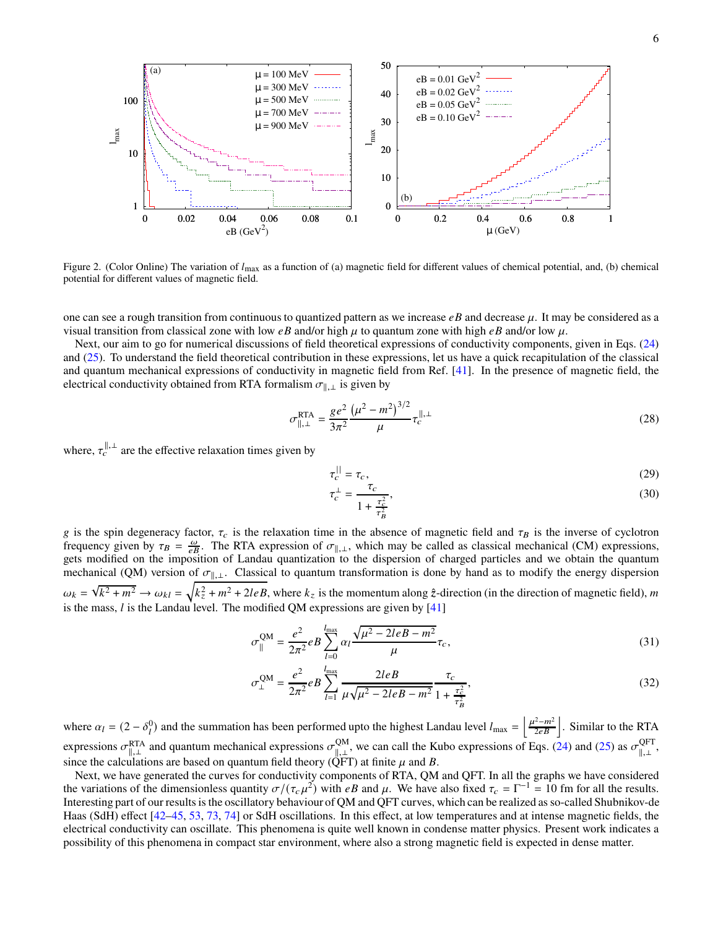

<span id="page-5-0"></span>Figure 2. (Color Online) The variation of  $l_{\text{max}}$  as a function of (a) magnetic field for different values of chemical potential, and, (b) chemical potential for different values of magnetic field.

one can see a rough transition from continuous to quantized pattern as we increase  $\epsilon B$  and decrease  $\mu$ . It may be considered as a visual transition from classical zone with low  $e\bar{B}$  and/or high  $\mu$  to quantum zone with high  $e\bar{B}$  and/or low  $\mu$ .

Next, our aim to go for numerical discussions of field theoretical expressions of conductivity components, given in Eqs. [\(24\)](#page-4-4) and [\(25\)](#page-4-4). To understand the field theoretical contribution in these expressions, let us have a quick recapitulation of the classical and quantum mechanical expressions of conductivity in magnetic field from Ref. [\[41\]](#page-12-4). In the presence of magnetic field, the electrical conductivity obtained from RTA formalism  $\sigma_{\parallel,\perp}$  is given by

<span id="page-5-2"></span>
$$
\sigma_{\parallel,\perp}^{\rm RTA} = \frac{ge^2}{3\pi^2} \frac{(\mu^2 - m^2)^{3/2}}{\mu} \tau_c^{\parallel,\perp}
$$
 (28)

where,  $\tau_c^{\parallel, \perp}$  are the effective relaxation times given by

<span id="page-5-3"></span>
$$
\tau_c^{||} = \tau_c,\tag{29}
$$

$$
\tau_c^{\perp} = \frac{\tau_c}{1 + \frac{\tau_c^2}{\tau_B^2}},\tag{30}
$$

g is the spin degeneracy factor,  $\tau_c$  is the relaxation time in the absence of magnetic field and  $\tau_B$  is the inverse of cyclotron frequency given by  $\tau_B = \frac{\omega}{eB}$ . The RTA expression of  $\sigma_{\parallel,\perp}$ , which may be called as classical mechanical (CM) expressions, gets modified on the imposition of Landau quantization to the dispersion of charged particles and we obtain the quantum mechanical (QM) version of  $\sigma_{\parallel,\perp}$ . Classical to quantum transformation is done by hand as to modify the energy dispersion  $\omega_k = \sqrt{k^2 + m^2} \to \omega_{kl} = \sqrt{k_z^2 + m^2 + 2leB}$ , where  $k_z$  is the momentum along  $\hat{z}$ -direction (in the direction of magnetic field), m is the mass,  $l$  is the Landau level. The modified QM expressions are given by  $[41]$ 

𝐵

<span id="page-5-1"></span>
$$
\sigma_{\parallel}^{\text{QM}} = \frac{e^2}{2\pi^2} e B \sum_{l=0}^{l_{\text{max}}} \alpha_l \frac{\sqrt{\mu^2 - 2leB - m^2}}{\mu} \tau_c,
$$
\n(31)

$$
\sigma_{\perp}^{\text{QM}} = \frac{e^2}{2\pi^2} e B \sum_{l=1}^{l_{\text{max}}} \frac{2leB}{\mu \sqrt{\mu^2 - 2leB - m^2}} \frac{\tau_c}{1 + \frac{\tau_c^2}{\tau_B^2}},\tag{32}
$$

where  $\alpha_l = (2 - \delta_l^0)$  and the summation has been performed upto the highest Landau level  $l_{\text{max}} = \left| \frac{\mu^2 - m^2}{2eB} \right|$ . Similar to the RTA expressions  $\sigma_{\|\cdot\|}^{\text{RTA}}$  and quantum mechanical expressions  $\sigma_{\|\cdot\|}^{\text{QM}}$  $\mathbb{Q}_{\parallel,\perp}^{\text{QM}}$ , we can call the Kubo expressions of Eqs. [\(24\)](#page-4-4) and [\(25\)](#page-4-4) as  $\sigma_{\parallel,\perp}^{\text{QFT}}$ ∪rı<br>∥,⊥ ' since the calculations are based on quantum field theory (QFT) at finite  $\mu$  and  $B$ .

Next, we have generated the curves for conductivity components of RTA, QM and QFT. In all the graphs we have considered the variations of the dimensionless quantity  $\sigma/(\tau_c \mu^2)$  with eB and  $\mu$ . We have also fixed  $\tau_c = \Gamma^{-1} = 10$  fm for all the results. Interesting part of our results is the oscillatory behaviour of QM and QFT curves, which can be realized as so-called Shubnikov-de Haas (SdH) effect [\[42](#page-12-5)[–45](#page-12-6), [53](#page-12-13), [73](#page-12-17), [74\]](#page-12-18) or SdH oscillations. In this effect, at low temperatures and at intense magnetic fields, the electrical conductivity can oscillate. This phenomena is quite well known in condense matter physics. Present work indicates a possibility of this phenomena in compact star environment, where also a strong magnetic field is expected in dense matter.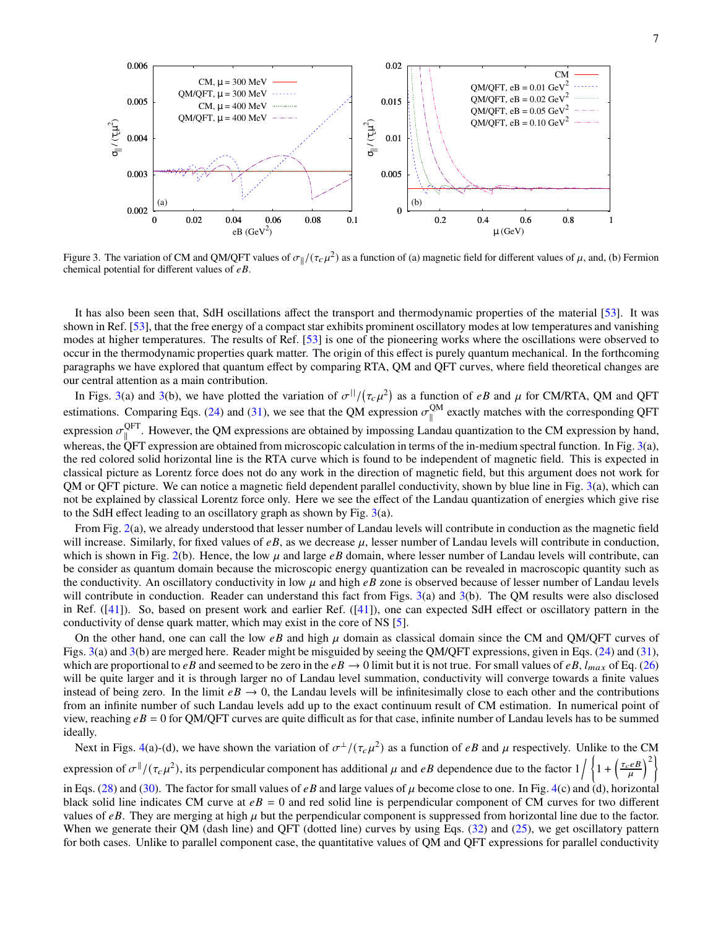

<span id="page-6-0"></span>Figure 3. The variation of CM and QM/QFT values of  $\sigma_{\parallel}/(\tau_c \mu^2)$  as a function of (a) magnetic field for different values of  $\mu$ , and, (b) Fermion chemical potential for different values of  $eB$ .

It has also been seen that, SdH oscillations affect the transport and thermodynamic properties of the material [\[53\]](#page-12-13). It was shown in Ref. [\[53\]](#page-12-13), that the free energy of a compact star exhibits prominent oscillatory modes at low temperatures and vanishing modes at higher temperatures. The results of Ref. [\[53](#page-12-13)] is one of the pioneering works where the oscillations were observed to occur in the thermodynamic properties quark matter. The origin of this effect is purely quantum mechanical. In the forthcoming paragraphs we have explored that quantum effect by comparing RTA, QM and QFT curves, where field theoretical changes are our central attention as a main contribution.

In Figs. [3\(](#page-6-0)a) and 3(b), we have plotted the variation of  $\sigma^{||}/(\tau_c\mu^2)$  as a function of  $eB$  and  $\mu$  for CM/RTA, QM and QFT estimations. Comparing Eqs. [\(24\)](#page-4-4) and [\(31\)](#page-5-1), we see that the QM expression  $\sigma_{\parallel}^{QM}$  $\frac{Q_{\text{M}}}{\parallel}$  exactly matches with the corresponding QFT expression  $\sigma_{\parallel}^{\text{QFT}}$ . However, the QM expressions are obtained by impossing Landau quantization to the CM expression by hand, whereas, the QFT expression are obtained from microscopic calculation in terms of the in-medium spectral function. In Fig. [3\(](#page-6-0)a), the red colored solid horizontal line is the RTA curve which is found to be independent of magnetic field. This is expected in classical picture as Lorentz force does not do any work in the direction of magnetic field, but this argument does not work for QM or QFT picture. We can notice a magnetic field dependent parallel conductivity, shown by blue line in Fig. [3\(](#page-6-0)a), which can not be explained by classical Lorentz force only. Here we see the effect of the Landau quantization of energies which give rise to the SdH effect leading to an oscillatory graph as shown by Fig. [3\(](#page-6-0)a).

From Fig. [2\(](#page-5-0)a), we already understood that lesser number of Landau levels will contribute in conduction as the magnetic field will increase. Similarly, for fixed values of  $eB$ , as we decrease  $\mu$ , lesser number of Landau levels will contribute in conduction, which is shown in Fig. [2\(](#page-5-0)b). Hence, the low  $\mu$  and large  $eB$  domain, where lesser number of Landau levels will contribute, can be consider as quantum domain because the microscopic energy quantization can be revealed in macroscopic quantity such as the conductivity. An oscillatory conductivity in low  $\mu$  and high  $e\bar{B}$  zone is observed because of lesser number of Landau levels will contribute in conduction. Reader can understand this fact from Figs. [3\(](#page-6-0)a) and 3(b). The QM results were also disclosed in Ref. ([\[41](#page-12-4)]). So, based on present work and earlier Ref. ([\[41](#page-12-4)]), one can expected SdH effect or oscillatory pattern in the conductivity of dense quark matter, which may exist in the core of NS [\[5](#page-11-4)].

On the other hand, one can call the low  $eB$  and high  $\mu$  domain as classical domain since the CM and QM/QFT curves of Figs. [3\(](#page-6-0)a) and [3\(](#page-6-0)b) are merged here. Reader might be misguided by seeing the QM/QFT expressions, given in Eqs. [\(24\)](#page-4-4) and [\(31\)](#page-5-1), which are proportional to eB and seemed to be zero in the eB  $\rightarrow$  0 limit but it is not true. For small values of eB,  $l_{max}$  of Eq. [\(26\)](#page-4-5) will be quite larger and it is through larger no of Landau level summation, conductivity will converge towards a finite values instead of being zero. In the limit  $eB \to 0$ , the Landau levels will be infinitesimally close to each other and the contributions from an infinite number of such Landau levels add up to the exact continuum result of CM estimation. In numerical point of view, reaching  $eB = 0$  for QM/QFT curves are quite difficult as for that case, infinite number of Landau levels has to be summed ideally.

Next in Figs. [4\(](#page-7-0)a)-(d), we have shown the variation of  $\sigma^{\perp}/(\tau_c\mu^2)$  as a function of eB and  $\mu$  respectively. Unlike to the CM expression of  $\sigma^{\parallel}/(\tau_c\mu^2)$ , its perpendicular component has additional  $\mu$  and  $eB$  dependence due to the factor  $1/\sqrt{2}$  $1 + \left(\frac{\tau_c eB}{\mu}\right)$  $\mathcal{L}^2$ 

in Eqs. [\(28\)](#page-5-2) and [\(30\)](#page-5-3). The factor for small values of  $\epsilon B$  and large values of  $\mu$  become close to one. In Fig. [4\(](#page-7-0)c) and (d), horizontal black solid line indicates CM curve at  $eB = 0$  and red solid line is perpendicular component of CM curves for two different values of  $eB$ . They are merging at high  $\mu$  but the perpendicular component is suppressed from horizontal line due to the factor. When we generate their QM (dash line) and QFT (dotted line) curves by using Eqs.  $(32)$  and  $(25)$ , we get oscillatory pattern for both cases. Unlike to parallel component case, the quantitative values of QM and QFT expressions for parallel conductivity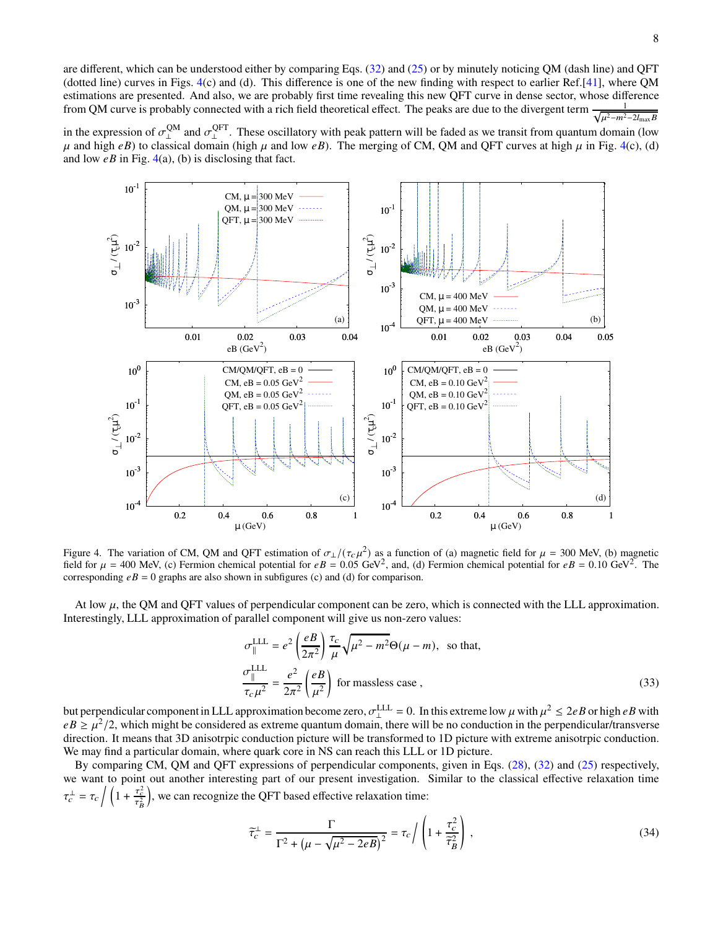are different, which can be understood either by comparing Eqs. [\(32\)](#page-5-1) and [\(25\)](#page-4-4) or by minutely noticing QM (dash line) and QFT (dotted line) curves in Figs. [4\(](#page-7-0)c) and (d). This difference is one of the new finding with respect to earlier Ref.[\[41](#page-12-4)], where QM estimations are presented. And also, we are probably first time revealing this new QFT curve in dense sector, whose difference from QM curve is probably connected with a rich field theoretical effect. The peaks are due to the divergent term 1  $\mu^2-m^2-2l_{\max}B$ 

in the expression of  $\sigma_{\perp}^{\text{QM}}$  $\mathcal{L}^{\text{QM}}_{\perp}$  and  $\sigma^{\text{QFT}}_{\perp}$  $\frac{1}{2}$ . These oscillatory with peak pattern will be faded as we transit from quantum domain (low  $\mu$  and high  $eB$ ) to classical domain (high  $\mu$  and low  $eB$ ). The merging of CM, QM and QFT curves at high  $\mu$  in Fig. [4\(](#page-7-0)c), (d) and low  $eB$  in Fig. [4\(](#page-7-0)a), (b) is disclosing that fact.



<span id="page-7-0"></span>Figure 4. The variation of CM, QM and QFT estimation of  $\sigma_{\perp}/(\tau_c\mu^2)$  as a function of (a) magnetic field for  $\mu = 300$  MeV, (b) magnetic field for  $\mu = 400$  MeV, (c) Fermion chemical potential for  $eB = 0.05$  GeV<sup>2</sup>, and, (d) Fermion chemical potential for  $eB = 0.10$  GeV<sup>2</sup>. The corresponding  $eB = 0$  graphs are also shown in subfigures (c) and (d) for comparison.

At low  $\mu$ , the QM and QFT values of perpendicular component can be zero, which is connected with the LLL approximation. Interestingly, LLL approximation of parallel component will give us non-zero values:

$$
\sigma_{\parallel}^{\text{LLL}} = e^2 \left( \frac{eB}{2\pi^2} \right) \frac{\tau_c}{\mu} \sqrt{\mu^2 - m^2} \Theta(\mu - m), \text{ so that,}
$$
  

$$
\frac{\sigma_{\parallel}^{\text{LLL}}}{\tau_c \mu^2} = \frac{e^2}{2\pi^2} \left( \frac{eB}{\mu^2} \right) \text{ for massless case,}
$$
 (33)

but perpendicular component in LLL approximation become zero,  $\sigma_{\perp}^{LLL} = 0$ . In this extreme low  $\mu$  with  $\mu^2 \le 2eB$  or high  $eB$  with  $eB \ge \mu^2/2$ , which might be considered as extreme quantum domain, there will be no conduction in the perpendicular/transverse direction. It means that 3D anisotrpic conduction picture will be transformed to 1D picture with extreme anisotrpic conduction. We may find a particular domain, where quark core in NS can reach this LLL or 1D picture.

By comparing CM, QM and QFT expressions of perpendicular components, given in Eqs. [\(28\)](#page-5-2), [\(32\)](#page-5-1) and [\(25\)](#page-4-4) respectively, we want to point out another interesting part of our present investigation. Similar to the classical effective relaxation time  $\tau_c^{\perp} = \tau_c / \left(1 + \frac{\tau_c^2}{\tau_B^2}\right)$ ), we can recognize the QFT based effective relaxation time:

$$
\widetilde{\tau}_c^{\perp} = \frac{\Gamma}{\Gamma^2 + \left(\mu - \sqrt{\mu^2 - 2eB}\right)^2} = \tau_c \left/ \left(1 + \frac{\tau_c^2}{\widetilde{\tau}_B^2}\right) \right.,\tag{34}
$$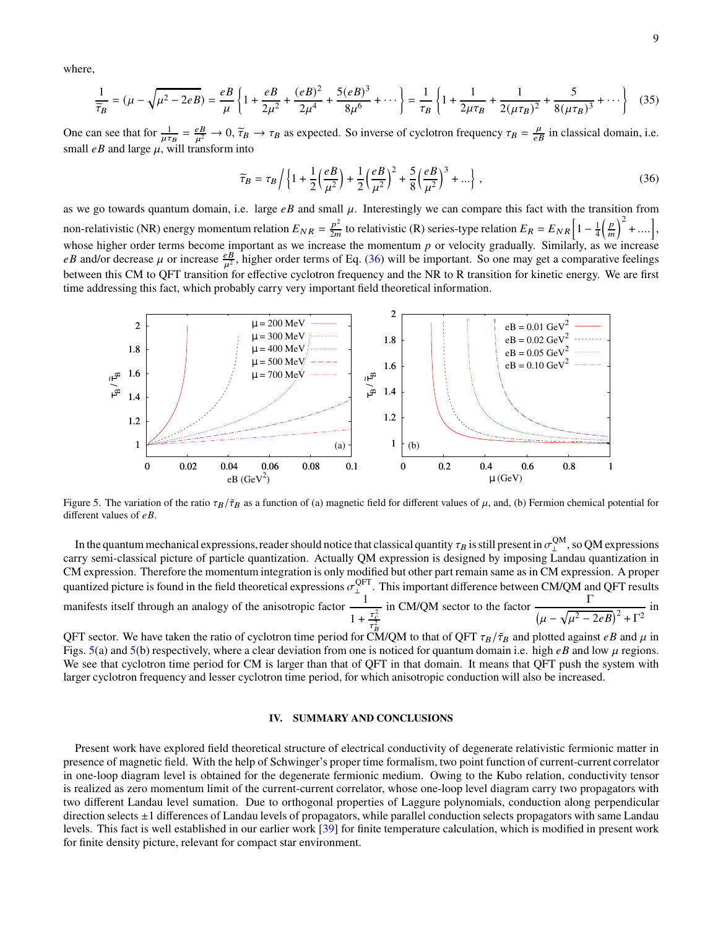where,

$$
\frac{1}{\tilde{\tau}_B} = (\mu - \sqrt{\mu^2 - 2eB}) = \frac{eB}{\mu} \left\{ 1 + \frac{eB}{2\mu^2} + \frac{(eB)^2}{2\mu^4} + \frac{5(eB)^3}{8\mu^6} + \cdots \right\} = \frac{1}{\tau_B} \left\{ 1 + \frac{1}{2\mu\tau_B} + \frac{1}{2(\mu\tau_B)^2} + \frac{5}{8(\mu\tau_B)^3} + \cdots \right\}
$$
(35)

One can see that for  $\frac{1}{\mu \tau_B} = \frac{e}{\mu^2} \to 0$ ,  $\tilde{\tau}_B \to \tau_B$  as expected. So inverse of cyclotron frequency  $\tau_B = \frac{\mu}{eB}$  in classical domain, i.e. small  $eB$  and large  $\mu$ , will transform into

<span id="page-8-1"></span>
$$
\widetilde{\tau}_B = \tau_B \left[ \left\{ 1 + \frac{1}{2} \left( \frac{e}{\mu^2} \right) + \frac{1}{2} \left( \frac{e}{\mu^2} \right)^2 + \frac{5}{8} \left( \frac{e}{\mu^2} \right)^3 + \ldots \right\},\right] \tag{36}
$$

as we go towards quantum domain, i.e. large  $e\beta$  and small  $\mu$ . Interestingly we can compare this fact with the transition from non-relativistic (NR) energy momentum relation  $E_{NR} = \frac{p^2}{2m}$  $\frac{p^2}{2m}$  to relativistic (R) series-type relation  $E_R = E_{NR} \left[1 - \frac{1}{4}\right]$  $\int$ m  $\Big)^2$  + ....], whose higher order terms become important as we increase the momentum  $p$  or velocity gradually. Similarly, as we increase eB and/or decrease  $\mu$  or increase  $\frac{e}{\mu^2}$ , higher order terms of Eq. [\(36\)](#page-8-1) will be important. So one may get a comparative feelings between this CM to QFT transition for effective cyclotron frequency and the NR to R transition for kinetic energy. We are first time addressing this fact, which probably carry very important field theoretical information.



<span id="page-8-2"></span>Figure 5. The variation of the ratio  $\tau_B/\tilde{\tau}_B$  as a function of (a) magnetic field for different values of  $\mu$ , and, (b) Fermion chemical potential for different values of  $eB$ .

In the quantum mechanical expressions, reader should notice that classical quantity  $\tau_B$  is still present in  $\sigma_\perp^{\rm QM}$  $\mathcal{L}^{\text{QM}}$ , so QM expressions carry semi-classical picture of particle quantization. Actually QM expression is designed by imposing Landau quantization in CM expression. Therefore the momentum integration is only modified but other part remain same as in CM expression. A proper quantized picture is found in the field theoretical expressions  $\sigma_{\perp}^{\text{QFT}}$  $\frac{1}{2}$ . This important difference between CM/QM and QFT results manifests itself through an analogy of the anisotropic factor  $\frac{-1}{\cdot}$  $1 + \frac{\tau_c^2}{\tau_n^2}$ in CM/QM sector to the factor  $\frac{\Gamma}{(\mu - \sqrt{\mu^2 - 2eB})^2 + \Gamma^2}$  in

QFT sector. We have taken the ratio of cyclotron time period for CM/QM to that of QFT  $\tau_B/\tilde{\tau}_B$  and plotted against  $eB$  and  $\mu$  in Figs. [5\(](#page-8-2)a) and 5(b) respectively, where a clear deviation from one is noticed for quantum domain i.e. high  $eB$  and low  $\mu$  regions. We see that cyclotron time period for CM is larger than that of QFT in that domain. It means that QFT push the system with larger cyclotron frequency and lesser cyclotron time period, for which anisotropic conduction will also be increased.

## <span id="page-8-0"></span>**IV. SUMMARY AND CONCLUSIONS**

Present work have explored field theoretical structure of electrical conductivity of degenerate relativistic fermionic matter in presence of magnetic field. With the help of Schwinger's proper time formalism, two point function of current-current correlator in one-loop diagram level is obtained for the degenerate fermionic medium. Owing to the Kubo relation, conductivity tensor is realized as zero momentum limit of the current-current correlator, whose one-loop level diagram carry two propagators with two different Landau level sumation. Due to orthogonal properties of Laggure polynomials, conduction along perpendicular direction selects ±1 differences of Landau levels of propagators, while parallel conduction selects propagators with same Landau levels. This fact is well established in our earlier work [\[39](#page-12-1)] for finite temperature calculation, which is modified in present work for finite density picture, relevant for compact star environment.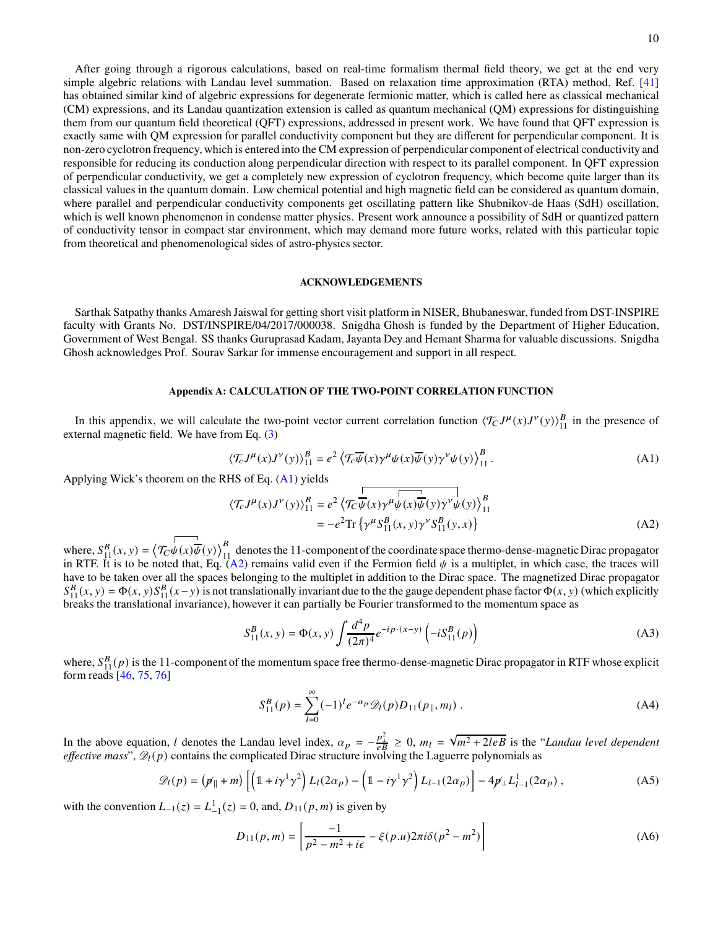After going through a rigorous calculations, based on real-time formalism thermal field theory, we get at the end very simple algebric relations with Landau level summation. Based on relaxation time approximation (RTA) method, Ref. [\[41\]](#page-12-4) has obtained similar kind of algebric expressions for degenerate fermionic matter, which is called here as classical mechanical (CM) expressions, and its Landau quantization extension is called as quantum mechanical (QM) expressions for distinguishing them from our quantum field theoretical (QFT) expressions, addressed in present work. We have found that QFT expression is exactly same with QM expression for parallel conductivity component but they are different for perpendicular component. It is non-zero cyclotron frequency, which is entered into the CM expression of perpendicular component of electrical conductivity and responsible for reducing its conduction along perpendicular direction with respect to its parallel component. In QFT expression of perpendicular conductivity, we get a completely new expression of cyclotron frequency, which become quite larger than its classical values in the quantum domain. Low chemical potential and high magnetic field can be considered as quantum domain, where parallel and perpendicular conductivity components get oscillating pattern like Shubnikov-de Haas (SdH) oscillation, which is well known phenomenon in condense matter physics. Present work announce a possibility of SdH or quantized pattern of conductivity tensor in compact star environment, which may demand more future works, related with this particular topic from theoretical and phenomenological sides of astro-physics sector.

### **ACKNOWLEDGEMENTS**

Sarthak Satpathy thanks Amaresh Jaiswal for getting short visit platform in NISER, Bhubaneswar, funded from DST-INSPIRE faculty with Grants No. DST/INSPIRE/04/2017/000038. Snigdha Ghosh is funded by the Department of Higher Education, Government of West Bengal. SS thanks Guruprasad Kadam, Jayanta Dey and Hemant Sharma for valuable discussions. Snigdha Ghosh acknowledges Prof. Sourav Sarkar for immense encouragement and support in all respect.

# <span id="page-9-0"></span>**Appendix A: CALCULATION OF THE TWO-POINT CORRELATION FUNCTION**

In this appendix, we will calculate the two-point vector current correlation function  $\langle \mathcal{T}_C J^\mu(x) J^\nu(y) \rangle_{11}^B$  in the presence of external magnetic field. We have from Eq. [\(3\)](#page-2-0)

<span id="page-9-2"></span>
$$
\langle \mathcal{T}_c J^\mu(x) J^\nu(y) \rangle_{11}^B = e^2 \left\langle \mathcal{T}_c \overline{\psi}(x) \gamma^\mu \psi(x) \overline{\psi}(y) \gamma^\nu \psi(y) \right\rangle_{11}^B. \tag{A1}
$$

Applying Wick's theorem on the RHS of Eq. [\(A1\)](#page-9-2) yields

<span id="page-9-3"></span>
$$
\langle \mathcal{T}_c J^\mu(x) J^\nu(y) \rangle_{11}^B = e^2 \left\langle \mathcal{T}_c \overline{\psi}^{\dagger}(x) \gamma^\mu \overline{\psi}(x) \overline{\psi}(y) \gamma^\nu \psi(y) \right\rangle_{11}^B
$$
  
=  $-e^2 \text{Tr} \left\{ \gamma^\mu S_{11}^B(x, y) \gamma^\nu S_{11}^B(y, x) \right\}$  (A2)

where,  $S_{11}^{B}(x, y) = \langle \mathcal{T}_{C} \psi(x) \overline{\psi}(y) \rangle_{11}^{B}$  denotes the 11-component of the coordinate space thermo-dense-magnetic Dirac propagator in RTF. It is to be noted that, Eq. [\(A2\)](#page-9-3) remains valid even if the Fermion field  $\psi$  is a multiplet, in which case, the traces will have to be taken over all the spaces belonging to the multiplet in addition to the Dirac space. The magnetized Dirac propagator  $S_{11}^{B}(x, y) = \Phi(x, y) S_{11}^{B}(x - y)$  is not translationally invariant due to the the gauge dependent phase factor  $\Phi(x, y)$  (which explicitly breaks the translational invariance), however it can partially be Fourier transformed to the momentum space as

<span id="page-9-4"></span>
$$
S_{11}^{B}(x, y) = \Phi(x, y) \int \frac{d^4 p}{(2\pi)^4} e^{-ip \cdot (x-y)} \left( -i S_{11}^{B}(p) \right)
$$
 (A3)

where,  $S_{11}^{B}(p)$  is the 11-component of the momentum space free thermo-dense-magnetic Dirac propagator in RTF whose explicit form reads [\[46,](#page-12-7) [75,](#page-12-19) [76](#page-12-20)]

<span id="page-9-5"></span>
$$
S_{11}^{B}(p) = \sum_{l=0}^{\infty} (-1)^{l} e^{-\alpha_{p}} \mathcal{D}_{l}(p) D_{11}(p_{\parallel}, m_{l}) . \qquad (A4)
$$

In the above equation, *l* denotes the Landau level index,  $\alpha_p = -\frac{p_\perp^2}{eB} \ge 0$ ,  $m_l = \sqrt{m^2 + 2leB}$  is the "*Landau level dependent effective mass*",  $\mathcal{D}_l(p)$  contains the complicated Dirac structure involving the Laguerre polynomials as

$$
\mathscr{D}_l(p) = \left(p_{\parallel} + m\right) \left[ \left(1 + i\gamma^1 \gamma^2\right) L_l(2\alpha_p) - \left(1 - i\gamma^1 \gamma^2\right) L_{l-1}(2\alpha_p) \right] - 4p_{\perp} L_{l-1}^1(2\alpha_p) ,\tag{A5}
$$

with the convention  $L_{-1}(z) = L_{-1}^{1}(z) = 0$ , and,  $D_{11}(p, m)$  is given by

<span id="page-9-1"></span>
$$
D_{11}(p,m) = \left[\frac{-1}{p^2 - m^2 + i\epsilon} - \xi(p.u)2\pi i\delta(p^2 - m^2)\right]
$$
 (A6)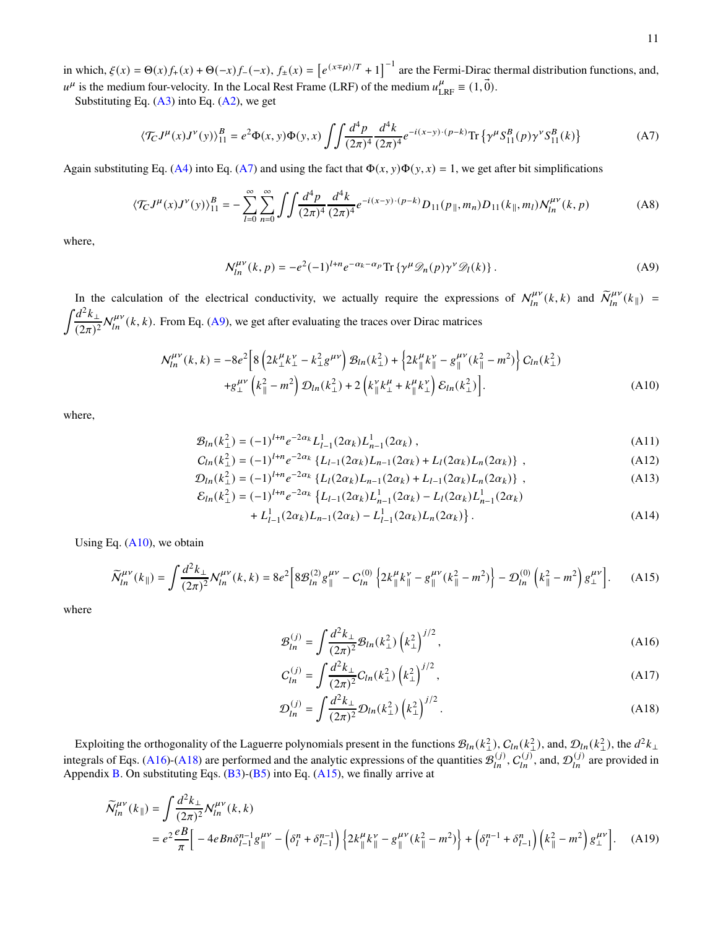in which,  $\xi(x) = \Theta(x) f_+(x) + \Theta(-x) f_-(x)$ ,  $f_+(x) = [e^{(x+\mu)/T} + 1]^{-1}$  are the Fermi-Dirac thermal distribution functions, and,  $u^{\mu}$  is the medium four-velocity. In the Local Rest Frame (LRF) of the medium  $u_{\text{LRF}}^{\mu} \equiv (1, \vec{0})$ .

Substituting Eq.  $(A3)$  into Eq.  $(A2)$ , we get

<span id="page-10-3"></span>
$$
\langle \mathcal{T}_C J^\mu(x) J^\nu(y) \rangle_{11}^B = e^2 \Phi(x, y) \Phi(y, x) \int \int \frac{d^4 p}{(2\pi)^4} \frac{d^4 k}{(2\pi)^4} e^{-i(x-y)\cdot(p-k)} \text{Tr} \left\{ \gamma^\mu S_{11}^B(p) \gamma^\nu S_{11}^B(k) \right\} \tag{A7}
$$

Again substituting Eq. [\(A4\)](#page-9-5) into Eq. [\(A7\)](#page-10-3) and using the fact that  $\Phi(x, y)\Phi(y, x) = 1$ , we get after bit simplifications

<span id="page-10-0"></span>
$$
\langle \mathcal{T}_C J^\mu(x) J^\nu(y) \rangle_{11}^B = -\sum_{l=0}^\infty \sum_{n=0}^\infty \int \int \frac{d^4 p}{(2\pi)^4} \frac{d^4 k}{(2\pi)^4} e^{-i(x-y)\cdot(p-k)} D_{11}(p_{\parallel}, m_n) D_{11}(k_{\parallel}, m_l) N_{ln}^{\mu\nu}(k, p) \tag{A8}
$$

where,

<span id="page-10-4"></span>
$$
\mathcal{N}_{ln}^{\mu\nu}(k,p) = -e^2(-1)^{l+n}e^{-\alpha_k-\alpha_p}\text{Tr}\left\{\gamma^\mu \mathcal{D}_n(p)\gamma^\nu \mathcal{D}_l(k)\right\}.
$$
 (A9)

In the calculation of the electrical conductivity, we actually require the expressions of  $\mathcal{N}_{ln}^{\mu\nu}(k,k)$  and  $\widetilde{\mathcal{N}}_{ln}^{\mu\nu}(k_{\parallel})$  =  $\int \frac{d^2k_{\perp}}{1}$  $\frac{d^2 \kappa_{\perp}}{(2\pi)^2} N_{ln}^{\mu\nu}(k, k)$ . From Eq. [\(A9\)](#page-10-4), we get after evaluating the traces over Dirac matrices

<span id="page-10-1"></span>
$$
\mathcal{N}_{ln}^{\mu\nu}(k,k) = -8e^2 \left[ 8 \left( 2k_{\perp}^{\mu} k_{\perp}^{\nu} - k_{\perp}^2 g^{\mu\nu} \right) \mathcal{B}_{ln}(k_{\perp}^2) + \left\{ 2k_{\parallel}^{\mu} k_{\parallel}^{\nu} - g_{\parallel}^{\mu\nu} (k_{\parallel}^2 - m^2) \right\} C_{ln}(k_{\perp}^2) + g_{\perp}^{\mu\nu} \left( k_{\parallel}^2 - m^2 \right) \mathcal{D}_{ln}(k_{\perp}^2) + 2 \left( k_{\parallel}^{\nu} k_{\perp}^{\mu} + k_{\parallel}^{\mu} k_{\perp}^{\nu} \right) \mathcal{E}_{ln}(k_{\perp}^2) \right].
$$
\n(A10)

where,

$$
\mathcal{B}_{ln}(k_{\perp}^{2}) = (-1)^{l+n} e^{-2\alpha_{k}} L_{l-1}^{1}(2\alpha_{k}) L_{n-1}^{1}(2\alpha_{k}), \qquad (A11)
$$

$$
C_{ln}(k_{\perp}^{2}) = (-1)^{l+n} e^{-2\alpha_{k}} \left\{ L_{l-1}(2\alpha_{k}) L_{n-1}(2\alpha_{k}) + L_{l}(2\alpha_{k}) L_{n}(2\alpha_{k}) \right\} , \qquad (A12)
$$

$$
\mathcal{D}_{ln}(k_{\perp}^{2}) = (-1)^{l+n} e^{-2\alpha_{k}} \left\{ L_{l}(2\alpha_{k}) L_{n-1}(2\alpha_{k}) + L_{l-1}(2\alpha_{k}) L_{n}(2\alpha_{k}) \right\} , \qquad (A13)
$$

$$
\mathcal{E}_{ln}(k_{\perp}^{2}) = (-1)^{l+n} e^{-2\alpha_{k}} \left\{ L_{l-1}(2\alpha_{k}) L_{n-1}^{1}(2\alpha_{k}) - L_{l}(2\alpha_{k}) L_{n-1}^{1}(2\alpha_{k}) - L_{l}(2\alpha_{k}) L_{n-1}(2\alpha_{k}) \right\}
$$
\n
$$
+ L_{l}^{1}(2\alpha_{k}) L_{n}(2\alpha_{k}) - L_{l}^{1}(2\alpha_{k}) L_{n-1}(2\alpha_{k}) \right\}
$$
\n
$$
(4.14)
$$

+ 
$$
L_{l-1}^1(2\alpha_k)L_{n-1}(2\alpha_k) - L_{l-1}^1(2\alpha_k)L_n(2\alpha_k)
$$
 }. (A14)

Using Eq. [\(A10\)](#page-10-1), we obtain

<span id="page-10-6"></span>
$$
\widetilde{N}_{ln}^{\mu\nu}(k_{\parallel}) = \int \frac{d^2k_{\perp}}{(2\pi)^2} N_{ln}^{\mu\nu}(k,k) = 8e^2 \Big[ 8\mathcal{B}_{ln}^{(2)} g_{\parallel}^{\mu\nu} - C_{ln}^{(0)} \left\{ 2k_{\parallel}^{\mu} k_{\parallel}^{\nu} - g_{\parallel}^{\mu\nu} (k_{\parallel}^2 - m^2) \right\} - \mathcal{D}_{ln}^{(0)} \left( k_{\parallel}^2 - m^2 \right) g_{\perp}^{\mu\nu} \Big]. \tag{A15}
$$

where

<span id="page-10-5"></span>
$$
\mathcal{B}_{ln}^{(j)} = \int \frac{d^2 k_{\perp}}{(2\pi)^2} \mathcal{B}_{ln}(k_{\perp}^2) \left(k_{\perp}^2\right)^{j/2},\tag{A16}
$$

$$
C_{ln}^{(j)} = \int \frac{d^2 k_{\perp}}{(2\pi)^2} C_{ln}(k_{\perp}^2) \left(k_{\perp}^2\right)^{j/2},\tag{A17}
$$

$$
\mathcal{D}_{ln}^{(j)} = \int \frac{d^2 k_{\perp}}{(2\pi)^2} \mathcal{D}_{ln}(k_{\perp}^2) \left(k_{\perp}^2\right)^{j/2}.
$$
 (A18)

Exploiting the orthogonality of the Laguerre polynomials present in the functions  $\mathcal{B}_{ln}(k_1^2)$ ,  $C_{ln}(k_1^2)$ , and,  $\mathcal{D}_{ln}(k_1^2)$ , the  $d^2k_{\perp}$ integrals of Eqs. [\(A16\)](#page-10-5)-[\(A18\)](#page-10-5) are performed and the analytic expressions of the quantities  $\mathcal{B}_{ln}^{(j)}$ ,  $C_{ln}^{(j)}$ , and,  $\mathcal{D}_{ln}^{(j)}$  are provided in Appendix [B.](#page-11-18) On substituting Eqs.  $(B3)-(B5)$  $(B3)-(B5)$  into Eq.  $(A15)$ , we finally arrive at

<span id="page-10-2"></span>
$$
\widetilde{N}_{ln}^{\mu\nu}(k_{\parallel}) = \int \frac{d^2 k_{\perp}}{(2\pi)^2} N_{ln}^{\mu\nu}(k,k) \n= e^2 \frac{eB}{\pi} \Big[ -4eBn\delta_{l-1}^{n-1} g_{\parallel}^{\mu\nu} - \Big(\delta_l^n + \delta_{l-1}^{n-1}\Big) \Big\{ 2k_{\parallel}^{\mu} k_{\parallel}^{\nu} - g_{\parallel}^{\mu\nu}(k_{\parallel}^2 - m^2) \Big\} + \Big(\delta_l^{n-1} + \delta_{l-1}^n\Big) \Big(k_{\parallel}^2 - m^2\Big) g_{\perp}^{\mu\nu} \Big].
$$
\n(A19)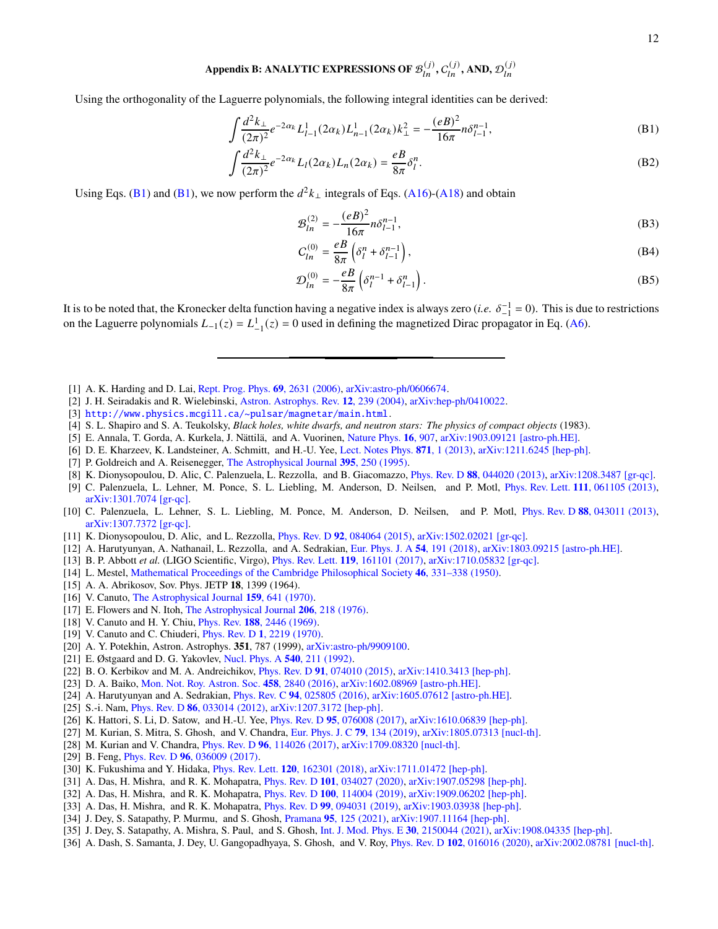Using the orthogonality of the Laguerre polynomials, the following integral identities can be derived:

<span id="page-11-20"></span><span id="page-11-18"></span>
$$
\int \frac{d^2 k_{\perp}}{(2\pi)^2} e^{-2\alpha_k} L_{l-1}^1(2\alpha_k) L_{n-1}^1(2\alpha_k) k_{\perp}^2 = -\frac{(eB)^2}{16\pi} n \delta_{l-1}^{n-1},\tag{B1}
$$

$$
\int \frac{d^2k_\perp}{(2\pi)^2} e^{-2\alpha_k} L_l(2\alpha_k) L_n(2\alpha_k) = \frac{e}{8\pi} \delta_l^n.
$$
 (B2)

Using Eqs. [\(B1\)](#page-11-20) and [\(B1\)](#page-11-20), we now perform the  $d^2k_{\perp}$  integrals of Eqs. [\(A16\)](#page-10-5)-[\(A18\)](#page-10-5) and obtain

<span id="page-11-19"></span>
$$
\mathcal{B}_{ln}^{(2)} = -\frac{(eB)^2}{16\pi} n \delta_{l-1}^{n-1},\tag{B3}
$$

$$
C_{ln}^{(0)} = \frac{eB}{8\pi} \left( \delta_l^n + \delta_{l-1}^{n-1} \right),\tag{B4}
$$

$$
\mathcal{D}_{ln}^{(0)} = -\frac{eB}{8\pi} \left( \delta_l^{n-1} + \delta_{l-1}^n \right). \tag{B5}
$$

It is to be noted that, the Kronecker delta function having a negative index is always zero (*i.e.*  $\delta_{-1}^{-1} = 0$ ). This is due to restrictions on the Laguerre polynomials  $L_{-1}(z) = L_{-1}^{1}(z) = 0$  used in defining the magnetized Dirac propagator in Eq. [\(A6\)](#page-9-1).

- <span id="page-11-0"></span>[1] A. K. Harding and D. Lai, [Rept. Prog. Phys.](http://dx.doi.org/10.1088/0034-4885/69/9/R03) **69**, 2631 (2006), [arXiv:astro-ph/0606674.](http://arxiv.org/abs/astro-ph/0606674)
- <span id="page-11-1"></span>[2] J. H. Seiradakis and R. Wielebinski, [Astron. Astrophys. Rev.](http://dx.doi.org/10.1007/s00159-004-0022-3) **12**, 239 (2004), [arXiv:hep-ph/0410022.](http://arxiv.org/abs/hep-ph/0410022)
- <span id="page-11-2"></span>[3] <http://www.physics.mcgill.ca/~pulsar/magnetar/main.html>.
- <span id="page-11-3"></span>[4] S. L. Shapiro and S. A. Teukolsky, *Black holes, white dwarfs, and neutron stars: The physics of compact objects* (1983).
- <span id="page-11-4"></span>[5] E. Annala, T. Gorda, A. Kurkela, J. Nättilä, and A. Vuorinen, [Nature Phys.](http://dx.doi.org/ 10.1038/s41567-020-0914-9) **16**, 907, [arXiv:1903.09121 \[astro-ph.HE\].](http://arxiv.org/abs/1903.09121)
- <span id="page-11-5"></span>[6] D. E. Kharzeev, K. Landsteiner, A. Schmitt, and H.-U. Yee, [Lect. Notes Phys.](http://dx.doi.org/10.1007/978-3-642-37305-3_1) **871**, 1 (2013), [arXiv:1211.6245 \[hep-ph\].](http://arxiv.org/abs/1211.6245)
- <span id="page-11-6"></span>[7] P. Goldreich and A. Reisenegger, [The Astrophysical Journal](http://dx.doi.org/10.1086/171646) **395**, 250 (1995).
- <span id="page-11-7"></span>[8] K. Dionysopoulou, D. Alic, C. Palenzuela, L. Rezzolla, and B. Giacomazzo, Phys. Rev. D **88**[, 044020 \(2013\),](http://dx.doi.org/ 10.1103/PhysRevD.88.044020) [arXiv:1208.3487 \[gr-qc\].](http://arxiv.org/abs/1208.3487)
- [9] C. Palenzuela, L. Lehner, M. Ponce, S. L. Liebling, M. Anderson, D. Neilsen, and P. Motl, Phys. Rev. Lett. **111**[, 061105 \(2013\),](http://dx.doi.org/ 10.1103/PhysRevLett.111.061105) [arXiv:1301.7074 \[gr-qc\].](http://arxiv.org/abs/1301.7074)
- [10] C. Palenzuela, L. Lehner, S. L. Liebling, M. Ponce, M. Anderson, D. Neilsen, and P. Motl, Phys. Rev. D **88**[, 043011 \(2013\),](http://dx.doi.org/ 10.1103/PhysRevD.88.043011) [arXiv:1307.7372 \[gr-qc\].](http://arxiv.org/abs/1307.7372)
- [11] K. Dionysopoulou, D. Alic, and L. Rezzolla, Phys. Rev. D **92**[, 084064 \(2015\),](http://dx.doi.org/10.1103/PhysRevD.92.084064) [arXiv:1502.02021 \[gr-qc\].](http://arxiv.org/abs/1502.02021)
- <span id="page-11-8"></span>[12] A. Harutyunyan, A. Nathanail, L. Rezzolla, and A. Sedrakian, [Eur. Phys. J. A](http://dx.doi.org/10.1140/epja/i2018-12624-1) **54**, 191 (2018), [arXiv:1803.09215 \[astro-ph.HE\].](http://arxiv.org/abs/1803.09215)
- <span id="page-11-9"></span>[13] B. P. Abbott *et al.* (LIGO Scientific, Virgo), Phys. Rev. Lett. **119**[, 161101 \(2017\),](http://dx.doi.org/10.1103/PhysRevLett.119.161101) [arXiv:1710.05832 \[gr-qc\].](http://arxiv.org/abs/1710.05832)
- <span id="page-11-10"></span>[14] L. Mestel, [Mathematical Proceedings of the Cambridge Philosophical Society](http://dx.doi.org/10.1017/S0305004100025809) **46**, 331–338 (1950).
- [15] A. A. Abrikosov, Sov. Phys. JETP **18**, 1399 (1964).
- [16] V. Canuto, [The Astrophysical Journal](http://dx.doi.org/10.1086/150338) **159**, 641 (1970).
- <span id="page-11-11"></span>[17] E. Flowers and N. Itoh, [The Astrophysical Journal](http://dx.doi.org/10.1086/154375) **206**, 218 (1976).
- <span id="page-11-12"></span>[18] V. Canuto and H. Y. Chiu, Phys. Rev. **188**[, 2446 \(1969\).](http://dx.doi.org/10.1103/PhysRev.188.2446)
- [19] V. Canuto and C. Chiuderi, Phys. Rev. D **1**[, 2219 \(1970\).](http://dx.doi.org/10.1103/PhysRevD.1.2219)
- <span id="page-11-14"></span>[20] A. Y. Potekhin, Astron. Astrophys. **351**, 787 (1999), [arXiv:astro-ph/9909100.](http://arxiv.org/abs/astro-ph/9909100)
- [21] E. Østgaard and D. G. Yakovlev, [Nucl. Phys. A](http://dx.doi.org/10.1016/0375-9474(92)90201-T) **540**, 211 (1992).
- <span id="page-11-15"></span>[22] B. O. Kerbikov and M. A. Andreichikov, Phys. Rev. D **91**[, 074010 \(2015\),](http://dx.doi.org/10.1103/PhysRevD.91.074010) [arXiv:1410.3413 \[hep-ph\].](http://arxiv.org/abs/1410.3413)
- [23] D. A. Baiko, [Mon. Not. Roy. Astron. Soc.](http://dx.doi.org/10.1093/mnras/stw504) **458**, 2840 (2016), [arXiv:1602.08969 \[astro-ph.HE\].](http://arxiv.org/abs/1602.08969)
- <span id="page-11-13"></span>[24] A. Harutyunyan and A. Sedrakian, Phys. Rev. C **94**[, 025805 \(2016\),](http://dx.doi.org/10.1103/PhysRevC.94.025805) [arXiv:1605.07612 \[astro-ph.HE\].](http://arxiv.org/abs/1605.07612)
- <span id="page-11-16"></span>[25] S.-i. Nam, Phys. Rev. D **86**[, 033014 \(2012\),](http://dx.doi.org/10.1103/PhysRevD.86.033014) [arXiv:1207.3172 \[hep-ph\].](http://arxiv.org/abs/1207.3172)
- [26] K. Hattori, S. Li, D. Satow, and H.-U. Yee, Phys. Rev. D **95**[, 076008 \(2017\),](http://dx.doi.org/ 10.1103/PhysRevD.95.076008) [arXiv:1610.06839 \[hep-ph\].](http://arxiv.org/abs/1610.06839)
- [27] M. Kurian, S. Mitra, S. Ghosh, and V. Chandra, [Eur. Phys. J. C](http://dx.doi.org/ 10.1140/epjc/s10052-019-6649-z) **79**, 134 (2019), [arXiv:1805.07313 \[nucl-th\].](http://arxiv.org/abs/1805.07313)
- [28] M. Kurian and V. Chandra, Phys. Rev. D **96**[, 114026 \(2017\),](http://dx.doi.org/10.1103/PhysRevD.96.114026) [arXiv:1709.08320 \[nucl-th\].](http://arxiv.org/abs/1709.08320)
- [29] B. Feng, Phys. Rev. D **96**[, 036009 \(2017\).](http://dx.doi.org/10.1103/PhysRevD.96.036009)
- [30] K. Fukushima and Y. Hidaka, Phys. Rev. Lett. **120**[, 162301 \(2018\),](http://dx.doi.org/10.1103/PhysRevLett.120.162301) [arXiv:1711.01472 \[hep-ph\].](http://arxiv.org/abs/1711.01472)
- [31] A. Das, H. Mishra, and R. K. Mohapatra, Phys. Rev. D **101**[, 034027 \(2020\),](http://dx.doi.org/10.1103/PhysRevD.101.034027) [arXiv:1907.05298 \[hep-ph\].](http://arxiv.org/abs/1907.05298)
- [32] A. Das, H. Mishra, and R. K. Mohapatra, Phys. Rev. D **100**[, 114004 \(2019\),](http://dx.doi.org/10.1103/PhysRevD.100.114004) [arXiv:1909.06202 \[hep-ph\].](http://arxiv.org/abs/1909.06202)
- [33] A. Das, H. Mishra, and R. K. Mohapatra, Phys. Rev. D **99**[, 094031 \(2019\),](http://dx.doi.org/10.1103/PhysRevD.99.094031) [arXiv:1903.03938 \[hep-ph\].](http://arxiv.org/abs/1903.03938)
- <span id="page-11-17"></span>[34] J. Dey, S. Satapathy, P. Murmu, and S. Ghosh, Pramana **95**[, 125 \(2021\),](http://dx.doi.org/ 10.1007/s12043-021-02148-3) [arXiv:1907.11164 \[hep-ph\].](http://arxiv.org/abs/1907.11164)
- [35] J. Dey, S. Satapathy, A. Mishra, S. Paul, and S. Ghosh, [Int. J. Mod. Phys. E](http://dx.doi.org/ 10.1142/S0218301321500440) **30**, 2150044 (2021), [arXiv:1908.04335 \[hep-ph\].](http://arxiv.org/abs/1908.04335)
- [36] A. Dash, S. Samanta, J. Dey, U. Gangopadhyaya, S. Ghosh, and V. Roy, Phys. Rev. D **102**[, 016016 \(2020\),](http://dx.doi.org/ 10.1103/PhysRevD.102.016016) [arXiv:2002.08781 \[nucl-th\].](http://arxiv.org/abs/2002.08781)